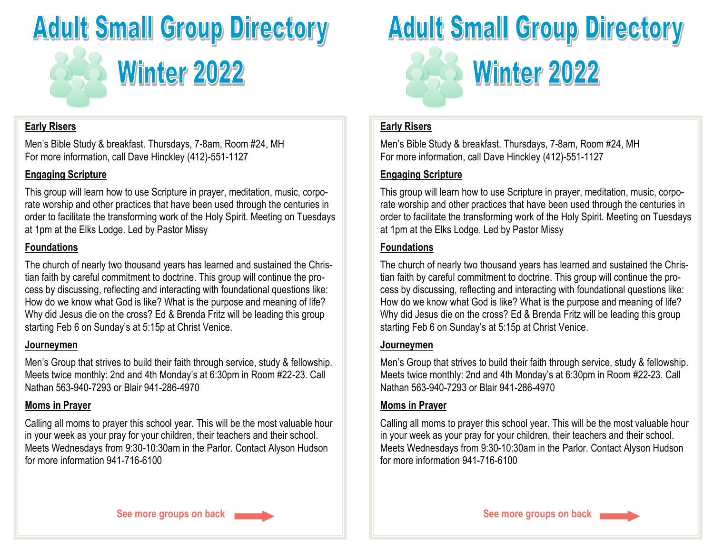

## **Early Risers**

Men's Bible Study & breakfast. Thursdays, 7-8am, Room #24, MH For more information, call Dave Hinckley (412)-551-1127

# **Engaging Scripture**

This group will learn how to use Scripture in prayer, meditation, music, corporate worship and other practices that have been used through the centuries in order to facilitate the transforming work of the Holy Spirit. Meeting on Tuesdays at 1pm at the Elks Lodge. Led by Pastor Missy

# **Foundations**

The church of nearly two thousand years has learned and sustained the Christian faith by careful commitment to doctrine. This group will continue the process by discussing, reflecting and interacting with foundational questions like: How do we know what God is like? What is the purpose and meaning of life? Why did Jesus die on the cross? Ed & Brenda Fritz will be leading this group starting Feb 6 on Sunday's at 5:15p at Christ Venice.

## **Journeymen**

Men's Group that strives to build their faith through service, study & fellowship. Meets twice monthly: 2nd and 4th Monday's at 6:30pm in Room #22-23. Call Nathan 563-940-7293 or Blair 941-286-4970

# **Moms in Prayer**

Calling all moms to prayer this school year. This will be the most valuable hour in your week as your pray for your children, their teachers and their school. Meets Wednesdays from 9:30-10:30am in the Parlor. Contact Alyson Hudson for more information 941-716-6100



## **Early Risers**

Men's Bible Study & breakfast. Thursdays, 7-8am, Room #24, MH For more information, call Dave Hinckley (412)-551-1127

# **Engaging Scripture**

This group will learn how to use Scripture in prayer, meditation, music, corporate worship and other practices that have been used through the centuries in order to facilitate the transforming work of the Holy Spirit. Meeting on Tuesdays at 1pm at the Elks Lodge. Led by Pastor Missy

# **Foundations**

The church of nearly two thousand years has learned and sustained the Christian faith by careful commitment to doctrine. This group will continue the process by discussing, reflecting and interacting with foundational questions like: How do we know what God is like? What is the purpose and meaning of life? Why did Jesus die on the cross? Ed & Brenda Fritz will be leading this group starting Feb 6 on Sunday's at 5:15p at Christ Venice.

## **Journeymen**

Men's Group that strives to build their faith through service, study & fellowship. Meets twice monthly: 2nd and 4th Monday's at 6:30pm in Room #22-23. Call Nathan 563-940-7293 or Blair 941-286-4970

## **Moms in Prayer**

Calling all moms to prayer this school year. This will be the most valuable hour in your week as your pray for your children, their teachers and their school. Meets Wednesdays from 9:30-10:30am in the Parlor. Contact Alyson Hudson for more information 941-716-6100